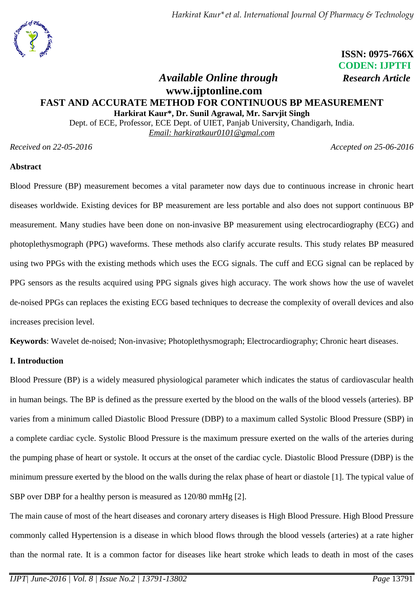

 **ISSN: 0975-766X CODEN: IJPTFI**

# *Available Online through Research Article* **www.ijptonline.com FAST AND ACCURATE METHOD FOR CONTINUOUS BP MEASUREMENT Harkirat Kaur\*, Dr. Sunil Agrawal, Mr. Sarvjit Singh**

Dept. of ECE, Professor, ECE Dept. of UIET, Panjab University, Chandigarh, India. *Email: [harkiratkaur0101@gmal.com](mailto:%20harkiratkaur0101@gmal.com)*

*Received on 22-05-2016 Accepted on 25-06-2016*

## **Abstract**

Blood Pressure (BP) measurement becomes a vital parameter now days due to continuous increase in chronic heart diseases worldwide. Existing devices for BP measurement are less portable and also does not support continuous BP measurement. Many studies have been done on non-invasive BP measurement using electrocardiography (ECG) and photoplethysmograph (PPG) waveforms. These methods also clarify accurate results. This study relates BP measured using two PPGs with the existing methods which uses the ECG signals. The cuff and ECG signal can be replaced by PPG sensors as the results acquired using PPG signals gives high accuracy. The work shows how the use of wavelet de-noised PPGs can replaces the existing ECG based techniques to decrease the complexity of overall devices and also increases precision level.

**Keywords**: Wavelet de-noised; Non-invasive; Photoplethysmograph; Electrocardiography; Chronic heart diseases.

## **I. Introduction**

Blood Pressure (BP) is a widely measured physiological parameter which indicates the status of cardiovascular health in human beings. The BP is defined as the pressure exerted by the blood on the walls of the blood vessels (arteries). BP varies from a minimum called Diastolic Blood Pressure (DBP) to a maximum called Systolic Blood Pressure (SBP) in a complete cardiac cycle. Systolic Blood Pressure is the maximum pressure exerted on the walls of the arteries during the pumping phase of heart or systole. It occurs at the onset of the cardiac cycle. Diastolic Blood Pressure (DBP) is the minimum pressure exerted by the blood on the walls during the relax phase of heart or diastole [1]. The typical value of SBP over DBP for a healthy person is measured as 120/80 mmHg [2].

The main cause of most of the heart diseases and coronary artery diseases is High Blood Pressure. High Blood Pressure commonly called Hypertension is a disease in which blood flows through the blood vessels (arteries) at a rate higher than the normal rate. It is a common factor for diseases like heart stroke which leads to death in most of the cases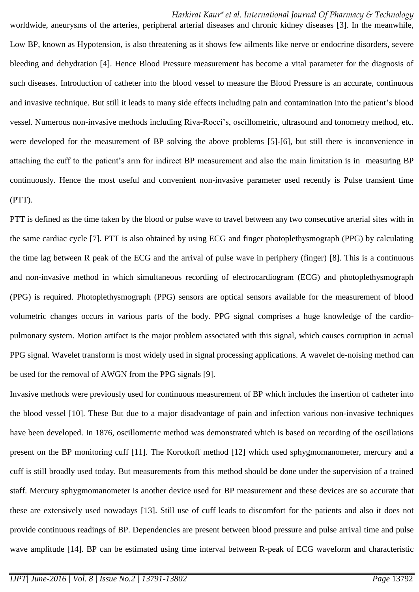worldwide, aneurysms of the arteries, peripheral arterial diseases and chronic kidney diseases [3]. In the meanwhile, Low BP, known as Hypotension, is also threatening as it shows few ailments like nerve or endocrine disorders, severe bleeding and dehydration [4]. Hence Blood Pressure measurement has become a vital parameter for the diagnosis of such diseases. Introduction of catheter into the blood vessel to measure the Blood Pressure is an accurate, continuous and invasive technique. But still it leads to many side effects including pain and contamination into the patient's blood vessel. Numerous non-invasive methods including Riva-Rocci's, oscillometric, ultrasound and tonometry method, etc. were developed for the measurement of BP solving the above problems [5]-[6], but still there is inconvenience in attaching the cuff to the patient's arm for indirect BP measurement and also the main limitation is in measuring BP continuously. Hence the most useful and convenient non-invasive parameter used recently is Pulse transient time (PTT).

PTT is defined as the time taken by the blood or pulse wave to travel between any two consecutive arterial sites with in the same cardiac cycle [7]. PTT is also obtained by using ECG and finger photoplethysmograph (PPG) by calculating the time lag between R peak of the ECG and the arrival of pulse wave in periphery (finger) [8]. This is a continuous and non-invasive method in which simultaneous recording of electrocardiogram (ECG) and photoplethysmograph (PPG) is required. Photoplethysmograph (PPG) sensors are optical sensors available for the measurement of blood volumetric changes occurs in various parts of the body. PPG signal comprises a huge knowledge of the cardiopulmonary system. Motion artifact is the major problem associated with this signal, which causes corruption in actual PPG signal. Wavelet transform is most widely used in signal processing applications. A wavelet de-noising method can be used for the removal of AWGN from the PPG signals [9].

Invasive methods were previously used for continuous measurement of BP which includes the insertion of catheter into the blood vessel [10]. These But due to a major disadvantage of pain and infection various non-invasive techniques have been developed. In 1876, oscillometric method was demonstrated which is based on recording of the oscillations present on the BP monitoring cuff [11]. The Korotkoff method [12] which used sphygmomanometer, mercury and a cuff is still broadly used today. But measurements from this method should be done under the supervision of a trained staff. Mercury sphygmomanometer is another device used for BP measurement and these devices are so accurate that these are extensively used nowadays [13]. Still use of cuff leads to discomfort for the patients and also it does not provide continuous readings of BP. Dependencies are present between blood pressure and pulse arrival time and pulse wave amplitude [14]. BP can be estimated using time interval between R-peak of ECG waveform and characteristic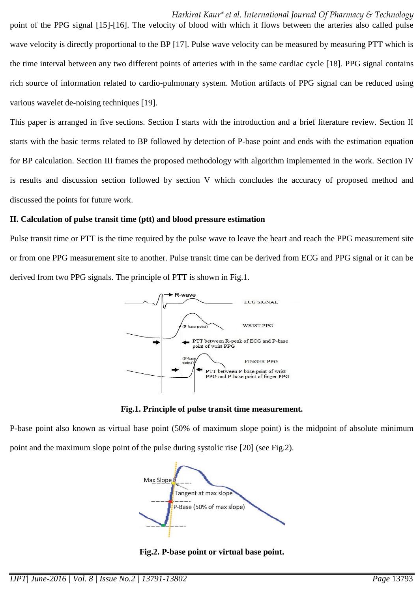point of the PPG signal [15]-[16]. The velocity of blood with which it flows between the arteries also called pulse wave velocity is directly proportional to the BP [17]. Pulse wave velocity can be measured by measuring PTT which is the time interval between any two different points of arteries with in the same cardiac cycle [18]. PPG signal contains rich source of information related to cardio-pulmonary system. Motion artifacts of PPG signal can be reduced using various wavelet de-noising techniques [19].

This paper is arranged in five sections. Section I starts with the introduction and a brief literature review. Section II starts with the basic terms related to BP followed by detection of P-base point and ends with the estimation equation for BP calculation. Section III frames the proposed methodology with algorithm implemented in the work. Section IV is results and discussion section followed by section V which concludes the accuracy of proposed method and discussed the points for future work.

#### **II. Calculation of pulse transit time (ptt) and blood pressure estimation**

Pulse transit time or PTT is the time required by the pulse wave to leave the heart and reach the PPG measurement site or from one PPG measurement site to another. Pulse transit time can be derived from ECG and PPG signal or it can be derived from two PPG signals. The principle of PTT is shown in Fig.1.



**Fig.1. Principle of pulse transit time measurement.**

P-base point also known as virtual base point (50% of maximum slope point) is the midpoint of absolute minimum point and the maximum slope point of the pulse during systolic rise [20] (see Fig.2).



**Fig.2. P-base point or virtual base point.**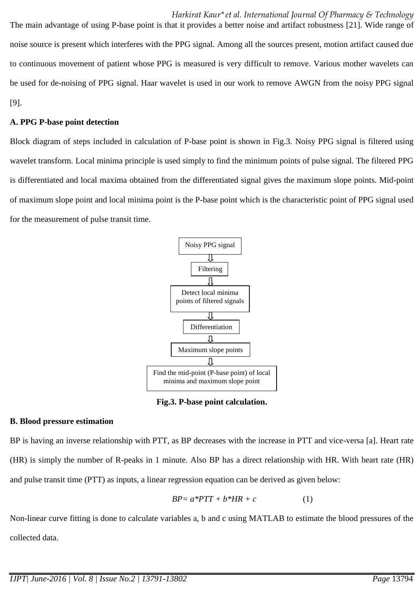The main advantage of using P-base point is that it provides a better noise and artifact robustness [21]. Wide range of noise source is present which interferes with the PPG signal. Among all the sources present, motion artifact caused due to continuous movement of patient whose PPG is measured is very difficult to remove. Various mother wavelets can be used for de-noising of PPG signal. Haar wavelet is used in our work to remove AWGN from the noisy PPG signal [9].

#### **A. PPG P-base point detection**

Block diagram of steps included in calculation of P-base point is shown in Fig.3. Noisy PPG signal is filtered using wavelet transform. Local minima principle is used simply to find the minimum points of pulse signal. The filtered PPG is differentiated and local maxima obtained from the differentiated signal gives the maximum slope points. Mid-point of maximum slope point and local minima point is the P-base point which is the characteristic point of PPG signal used for the measurement of pulse transit time.



**Fig.3. P-base point calculation.**

#### **B. Blood pressure estimation**

BP is having an inverse relationship with PTT, as BP decreases with the increase in PTT and vice-versa [a]. Heart rate (HR) is simply the number of R-peaks in 1 minute. Also BP has a direct relationship with HR. With heart rate (HR) and pulse transit time (PTT) as inputs, a linear regression equation can be derived as given below:

$$
BP = a*PTT + b*HR + c \tag{1}
$$

Non-linear curve fitting is done to calculate variables a, b and c using MATLAB to estimate the blood pressures of the collected data.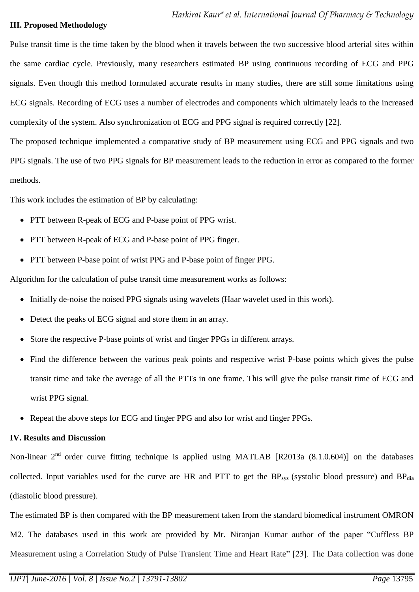#### **III. Proposed Methodology**

Pulse transit time is the time taken by the blood when it travels between the two successive blood arterial sites within the same cardiac cycle. Previously, many researchers estimated BP using continuous recording of ECG and PPG signals. Even though this method formulated accurate results in many studies, there are still some limitations using ECG signals. Recording of ECG uses a number of electrodes and components which ultimately leads to the increased complexity of the system. Also synchronization of ECG and PPG signal is required correctly [22].

The proposed technique implemented a comparative study of BP measurement using ECG and PPG signals and two PPG signals. The use of two PPG signals for BP measurement leads to the reduction in error as compared to the former methods.

This work includes the estimation of BP by calculating:

- PTT between R-peak of ECG and P-base point of PPG wrist.
- PTT between R-peak of ECG and P-base point of PPG finger.
- PTT between P-base point of wrist PPG and P-base point of finger PPG.

Algorithm for the calculation of pulse transit time measurement works as follows:

- Initially de-noise the noised PPG signals using wavelets (Haar wavelet used in this work).
- Detect the peaks of ECG signal and store them in an array.
- Store the respective P-base points of wrist and finger PPGs in different arrays.
- Find the difference between the various peak points and respective wrist P-base points which gives the pulse transit time and take the average of all the PTTs in one frame. This will give the pulse transit time of ECG and wrist PPG signal.
- Repeat the above steps for ECG and finger PPG and also for wrist and finger PPGs.

### **IV. Results and Discussion**

Non-linear  $2<sup>nd</sup>$  order curve fitting technique is applied using MATLAB [R2013a (8.1.0.604)] on the databases collected. Input variables used for the curve are HR and PTT to get the BP<sub>sys</sub> (systolic blood pressure) and BP<sub>dia</sub> (diastolic blood pressure).

The estimated BP is then compared with the BP measurement taken from the standard biomedical instrument OMRON M2. The databases used in this work are provided by Mr. Niranjan Kumar author of the paper "Cuffless BP Measurement using a Correlation Study of Pulse Transient Time and Heart Rate" [23]. The Data collection was done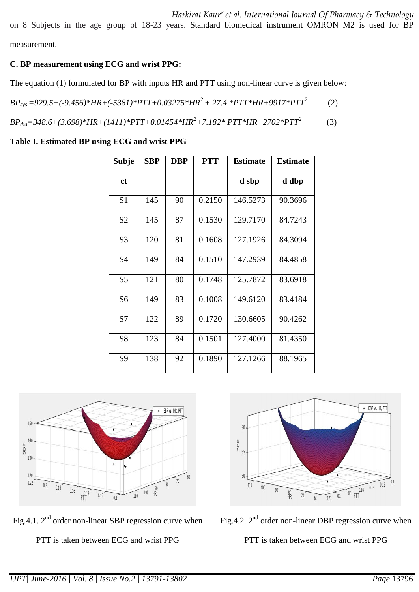on 8 Subjects in the age group of 18-23 years. Standard biomedical instrument OMRON M2 is used for BP measurement.

## **C. BP measurement using ECG and wrist PPG:**

The equation (1) formulated for BP with inputs HR and PTT using non-linear curve is given below:

*BPsys =929.5+(-9.456)\*HR+(-5381)\*PTT+0.03275\*HR<sup>2</sup> + 27.4 \*PTT\*HR+9917\*PTT<sup>2</sup>* (2)

*BPdia=348.6+(3.698)\*HR+(1411)\*PTT+0.01454\*HR<sup>2</sup>+7.182\* PTT\*HR+2702\*PTT<sup>2</sup>* (3)

## **Table I. Estimated BP using ECG and wrist PPG**

| <b>Subje</b>   | <b>SBP</b> | <b>DBP</b> | <b>PTT</b> | <b>Estimate</b> | <b>Estimate</b> |  |
|----------------|------------|------------|------------|-----------------|-----------------|--|
| ct             |            |            |            | d sbp           | d dbp           |  |
| S <sub>1</sub> | 145        | 90         | 0.2150     | 146.5273        | 90.3696         |  |
| S <sub>2</sub> | 145        | 87         | 0.1530     | 129.7170        | 84.7243         |  |
| S <sub>3</sub> | 120        | 81         | 0.1608     | 127.1926        | 84.3094         |  |
| S <sub>4</sub> | 149        | 84         | 0.1510     | 147.2939        | 84.4858         |  |
| S <sub>5</sub> | 121        | 80         | 0.1748     | 125.7872        | 83.6918         |  |
| S <sub>6</sub> | 149        | 83         | 0.1008     | 149.6120        | 83.4184         |  |
| S7             | 122        | 89         | 0.1720     | 130.6605        | 90.4262         |  |
| S <sub>8</sub> | 123        | 84         | 0.1501     | 127.4000        | 81.4350         |  |
| S <sub>9</sub> | 138        | 92         | 0.1890     | 127.1266        | 88.1965         |  |



Fig.4.1.  $2<sup>nd</sup>$  order non-linear SBP regression curve when

PTT is taken between ECG and wrist PPG





PTT is taken between ECG and wrist PPG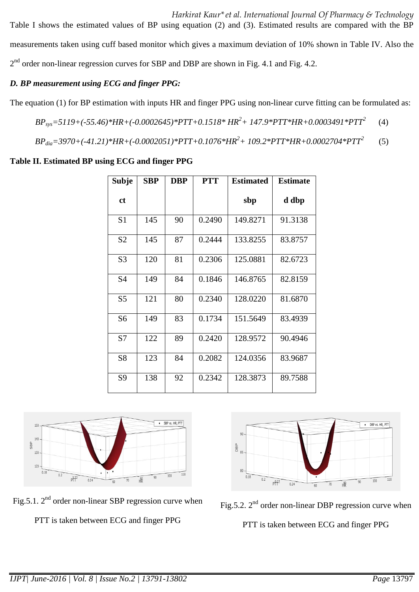Table I shows the estimated values of BP using equation (2) and (3). Estimated results are compared with the BP measurements taken using cuff based monitor which gives a maximum deviation of 10% shown in Table IV. Also the  $2<sup>nd</sup>$  order non-linear regression curves for SBP and DBP are shown in Fig. 4.1 and Fig. 4.2.

## *D. BP measurement using ECG and finger PPG:*

The equation (1) for BP estimation with inputs HR and finger PPG using non-linear curve fitting can be formulated as:

*BPsys=5119+(-55.46)\*HR+(-0.0002645)\*PTT+0.1518\* HR<sup>2</sup>+ 147.9\*PTT\*HR+0.0003491\*PTT<sup>2</sup>* (4)

*BPdia=3970+(-41.21)\*HR+(-0.0002051)\*PTT+0.1076\*HR<sup>2</sup>+ 109.2\*PTT\*HR+0.0002704\*PTT<sup>2</sup>* (5)

## **Table II. Estimated BP using ECG and finger PPG**

| <b>Subje</b>   | <b>SBP</b> | <b>DBP</b> | <b>PTT</b> | <b>Estimated</b> | <b>Estimate</b> |  |
|----------------|------------|------------|------------|------------------|-----------------|--|
| <sub>ct</sub>  |            |            |            | sbp              | d dbp           |  |
| S <sub>1</sub> | 145        | 90         | 0.2490     | 149.8271         | 91.3138         |  |
| S <sub>2</sub> | 145        | 87         | 0.2444     | 133.8255         | 83.8757         |  |
| S <sub>3</sub> | 120        | 81         | 0.2306     | 125.0881         | 82.6723         |  |
| S4             | 149        | 84         | 0.1846     | 146.8765         | 82.8159         |  |
| S <sub>5</sub> | 121        | 80         | 0.2340     | 128.0220         | 81.6870         |  |
| S <sub>6</sub> | 149        | 83         | 0.1734     | 151.5649         | 83.4939         |  |
| S7             | 122        | 89         | 0.2420     | 128.9572         | 90.4946         |  |
| S <sub>8</sub> | 123        | 84         | 0.2082     | 124.0356         | 83.9687         |  |
| S <sub>9</sub> | 138        | 92         | 0.2342     | 128.3873         | 89.7588         |  |



Fig.5.1.  $2^{nd}$  order non-linear SBP regression curve when

PTT is taken between ECG and finger PPG





PTT is taken between ECG and finger PPG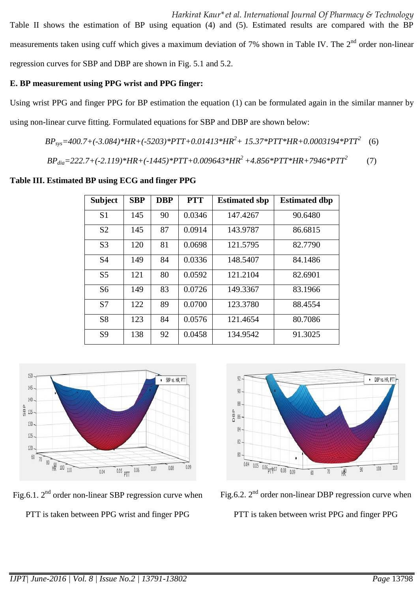*Harkirat Kaur\*et al. International Journal Of Pharmacy & Technology*  Table II shows the estimation of BP using equation (4) and (5). Estimated results are compared with the BP measurements taken using cuff which gives a maximum deviation of 7% shown in Table IV. The 2<sup>nd</sup> order non-linear regression curves for SBP and DBP are shown in Fig. 5.1 and 5.2.

### **E. BP measurement using PPG wrist and PPG finger:**

Using wrist PPG and finger PPG for BP estimation the equation (1) can be formulated again in the similar manner by using non-linear curve fitting. Formulated equations for SBP and DBP are shown below:

*BPsys=400.7+(-3.084)\*HR+(-5203)\*PTT+0.01413\*HR<sup>2</sup>+ 15.37\*PTT\*HR+0.0003194\*PTT<sup>2</sup>* (6)

$$
BP_{dia} = 222.7 + (-2.119)*HR + (-1445)*PTT + 0.009643*HR^2 + 4.856*PTT*HR + 7946*PTT^2
$$
 (7)

**Table III. Estimated BP using ECG and finger PPG**

| <b>Subject</b> | <b>SBP</b> | <b>DBP</b> | <b>PTT</b> | <b>Estimated sbp</b> | <b>Estimated dbp</b> |
|----------------|------------|------------|------------|----------------------|----------------------|
| S <sub>1</sub> | 145        | 90         | 0.0346     | 147.4267             | 90.6480              |
| S <sub>2</sub> | 145        | 87         | 0.0914     | 143.9787             | 86.6815              |
| S <sub>3</sub> | 120        | 81         | 0.0698     | 121.5795             | 82.7790              |
| S <sub>4</sub> | 149        | 84         | 0.0336     | 148.5407             | 84.1486              |
| S <sub>5</sub> | 121        | 80         | 0.0592     | 121.2104             | 82.6901              |
| S <sub>6</sub> | 149        | 83         | 0.0726     | 149.3367             | 83.1966              |
| S7             | 122        | 89         | 0.0700     | 123.3780             | 88.4554              |
| S <sub>8</sub> | 123        | 84         | 0.0576     | 121.4654             | 80.7086              |
| S <sub>9</sub> | 138        | 92         | 0.0458     | 134.9542             | 91.3025              |



Fig.6.1.  $2<sup>nd</sup>$  order non-linear SBP regression curve when PTT is taken between PPG wrist and finger PPG



Fig.6.2.  $2<sup>nd</sup>$  order non-linear DBP regression curve when

PTT is taken between wrist PPG and finger PPG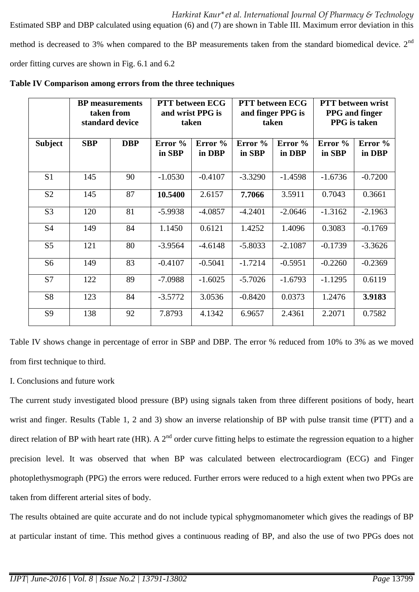*Harkirat Kaur\*et al. International Journal Of Pharmacy & Technology*  Estimated SBP and DBP calculated using equation (6) and (7) are shown in Table III. Maximum error deviation in this method is decreased to 3% when compared to the BP measurements taken from the standard biomedical device. 2<sup>nd</sup> order fitting curves are shown in Fig. 6.1 and 6.2

|                | <b>BP</b> measurements<br>taken from<br>standard device |            | <b>PTT</b> between ECG<br>and wrist PPG is<br>taken |                   | <b>PTT</b> between ECG<br>and finger PPG is<br>taken |                   | <b>PTT</b> between wrist<br><b>PPG</b> and finger<br><b>PPG</b> is taken |                   |
|----------------|---------------------------------------------------------|------------|-----------------------------------------------------|-------------------|------------------------------------------------------|-------------------|--------------------------------------------------------------------------|-------------------|
| <b>Subject</b> | <b>SBP</b>                                              | <b>DBP</b> | Error %<br>in SBP                                   | Error %<br>in DBP | Error %<br>in SBP                                    | Error %<br>in DBP | Error %<br>in SBP                                                        | Error %<br>in DBP |
| S <sub>1</sub> | 145                                                     | 90         | $-1.0530$                                           | $-0.4107$         | $-3.3290$                                            | $-1.4598$         | $-1.6736$                                                                | $-0.7200$         |
| S <sub>2</sub> | 145                                                     | 87         | 10.5400                                             | 2.6157            | 7.7066                                               | 3.5911            | 0.7043                                                                   | 0.3661            |
| S <sub>3</sub> | 120                                                     | 81         | $-5.9938$                                           | $-4.0857$         | $-4.2401$                                            | $-2.0646$         | $-1.3162$                                                                | $-2.1963$         |
| <b>S4</b>      | 149                                                     | 84         | 1.1450                                              | 0.6121            | 1.4252                                               | 1.4096            | 0.3083                                                                   | $-0.1769$         |
| S <sub>5</sub> | 121                                                     | 80         | $-3.9564$                                           | $-4.6148$         | $-5.8033$                                            | $-2.1087$         | $-0.1739$                                                                | $-3.3626$         |
| S <sub>6</sub> | 149                                                     | 83         | $-0.4107$                                           | $-0.5041$         | $-1.7214$                                            | $-0.5951$         | $-0.2260$                                                                | $-0.2369$         |
| S7             | 122                                                     | 89         | $-7.0988$                                           | $-1.6025$         | $-5.7026$                                            | $-1.6793$         | $-1.1295$                                                                | 0.6119            |
| S <sub>8</sub> | 123                                                     | 84         | $-3.5772$                                           | 3.0536            | $-0.8420$                                            | 0.0373            | 1.2476                                                                   | 3.9183            |
| S <sub>9</sub> | 138                                                     | 92         | 7.8793                                              | 4.1342            | 6.9657                                               | 2.4361            | 2.2071                                                                   | 0.7582            |

**Table IV Comparison among errors from the three techniques**

Table IV shows change in percentage of error in SBP and DBP. The error % reduced from 10% to 3% as we moved from first technique to third.

### I. Conclusions and future work

The current study investigated blood pressure (BP) using signals taken from three different positions of body, heart wrist and finger. Results (Table 1, 2 and 3) show an inverse relationship of BP with pulse transit time (PTT) and a direct relation of BP with heart rate (HR). A  $2^{nd}$  order curve fitting helps to estimate the regression equation to a higher precision level. It was observed that when BP was calculated between electrocardiogram (ECG) and Finger photoplethysmograph (PPG) the errors were reduced. Further errors were reduced to a high extent when two PPGs are taken from different arterial sites of body.

The results obtained are quite accurate and do not include typical sphygmomanometer which gives the readings of BP at particular instant of time. This method gives a continuous reading of BP, and also the use of two PPGs does not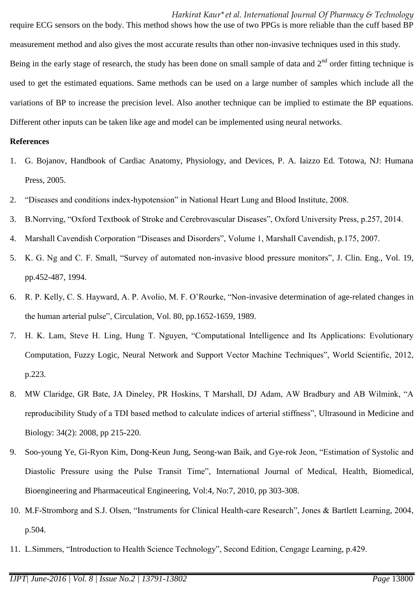require ECG sensors on the body. This method shows how the use of two PPGs is more reliable than the cuff based BP measurement method and also gives the most accurate results than other non-invasive techniques used in this study. Being in the early stage of research, the study has been done on small sample of data and  $2<sup>nd</sup>$  order fitting technique is used to get the estimated equations. Same methods can be used on a large number of samples which include all the variations of BP to increase the precision level. Also another technique can be implied to estimate the BP equations. Different other inputs can be taken like age and model can be implemented using neural networks.

#### **References**

- 1. G. Bojanov, Handbook of Cardiac Anatomy, Physiology, and Devices, P. A. Iaizzo Ed. Totowa, NJ: Humana Press, 2005.
- 2. "Diseases and conditions index-hypotension" in National Heart Lung and Blood Institute, 2008.
- 3. B.Norrving, "Oxford Textbook of Stroke and Cerebrovascular Diseases", Oxford University Press, p.257, 2014.
- 4. Marshall Cavendish Corporation "Diseases and Disorders", Volume 1, Marshall Cavendish, p.175, 2007.
- 5. K. G. Ng and C. F. Small, "Survey of automated non-invasive blood pressure monitors", J. Clin. Eng., Vol. 19, pp.452-487, 1994.
- 6. R. P. Kelly, C. S. Hayward, A. P. Avolio, M. F. O'Rourke, "Non-invasive determination of age-related changes in the human arterial pulse", Circulation, Vol. 80, pp.1652-1659, 1989.
- 7. H. K. Lam, Steve H. Ling, Hung T. Nguyen, "Computational Intelligence and Its Applications: Evolutionary Computation, Fuzzy Logic, Neural Network and Support Vector Machine Techniques", World Scientific, 2012, p.223.
- 8. MW Claridge, GR Bate, JA Dineley, PR Hoskins, T Marshall, DJ Adam, AW Bradbury and AB Wilmink, "A reproducibility Study of a TDI based method to calculate indices of arterial stiffness", Ultrasound in Medicine and Biology: 34(2): 2008, pp 215-220.
- 9. Soo-young Ye, Gi-Ryon Kim, Dong-Keun Jung, Seong-wan Baik, and Gye-rok Jeon, "Estimation of Systolic and Diastolic Pressure using the Pulse Transit Time", International Journal of Medical, Health, Biomedical, Bioengineering and Pharmaceutical Engineering, Vol:4, No:7, 2010, pp 303-308.
- 10. M.F-Stromborg and S.J. Olsen, "Instruments for Clinical Health-care Research", Jones & Bartlett Learning, 2004, p.504.
- 11. L.Simmers, "Introduction to Health Science Technology", Second Edition, Cengage Learning, p.429.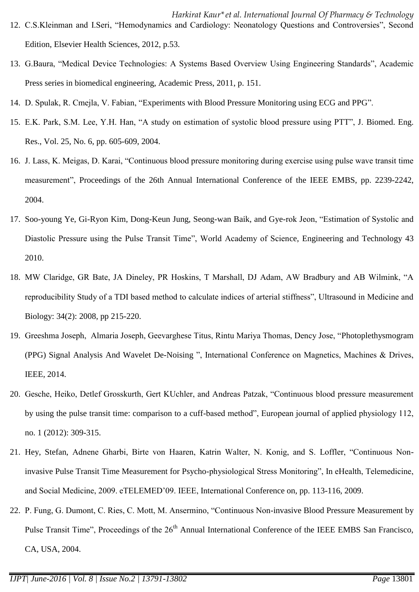- 13. G.Baura, "Medical Device Technologies: A Systems Based Overview Using Engineering Standards", Academic Press series in biomedical engineering, Academic Press, 2011, p. 151.
- 14. D. Spulak, R. Cmejla, V. Fabian, "Experiments with Blood Pressure Monitoring using ECG and PPG".
- 15. E.K. Park, S.M. Lee, Y.H. Han, "A study on estimation of systolic blood pressure using PTT", J. Biomed. Eng. Res., Vol. 25, No. 6, pp. 605-609, 2004.
- 16. J. Lass, K. Meigas, D. Karai, "Continuous blood pressure monitoring during exercise using pulse wave transit time measurement", Proceedings of the 26th Annual International Conference of the IEEE EMBS, pp. 2239-2242, 2004.
- 17. Soo-young Ye, Gi-Ryon Kim, Dong-Keun Jung, Seong-wan Baik, and Gye-rok Jeon, "Estimation of Systolic and Diastolic Pressure using the Pulse Transit Time", World Academy of Science, Engineering and Technology 43 2010.
- 18. MW Claridge, GR Bate, JA Dineley, PR Hoskins, T Marshall, DJ Adam, AW Bradbury and AB Wilmink, "A reproducibility Study of a TDI based method to calculate indices of arterial stiffness", Ultrasound in Medicine and Biology: 34(2): 2008, pp 215-220.
- 19. Greeshma Joseph, Almaria Joseph, Geevarghese Titus, Rintu Mariya Thomas, Dency Jose, "Photoplethysmogram (PPG) Signal Analysis And Wavelet De-Noising ", International Conference on Magnetics, Machines & Drives, IEEE, 2014.
- 20. Gesche, Heiko, Detlef Grosskurth, Gert KUchler, and Andreas Patzak, "Continuous blood pressure measurement by using the pulse transit time: comparison to a cuff-based method", European journal of applied physiology 112, no. 1 (2012): 309-315.
- 21. Hey, Stefan, Adnene Gharbi, Birte von Haaren, Katrin Walter, N. Konig, and S. Loffler, "Continuous Noninvasive Pulse Transit Time Measurement for Psycho-physiological Stress Monitoring", In eHealth, Telemedicine, and Social Medicine, 2009. eTELEMED'09. IEEE, International Conference on, pp. 113-116, 2009.
- 22. P. Fung, G. Dumont, C. Ries, C. Mott, M. Ansermino, "Continuous Non-invasive Blood Pressure Measurement by Pulse Transit Time", Proceedings of the 26<sup>th</sup> Annual International Conference of the IEEE EMBS San Francisco, CA, USA, 2004.